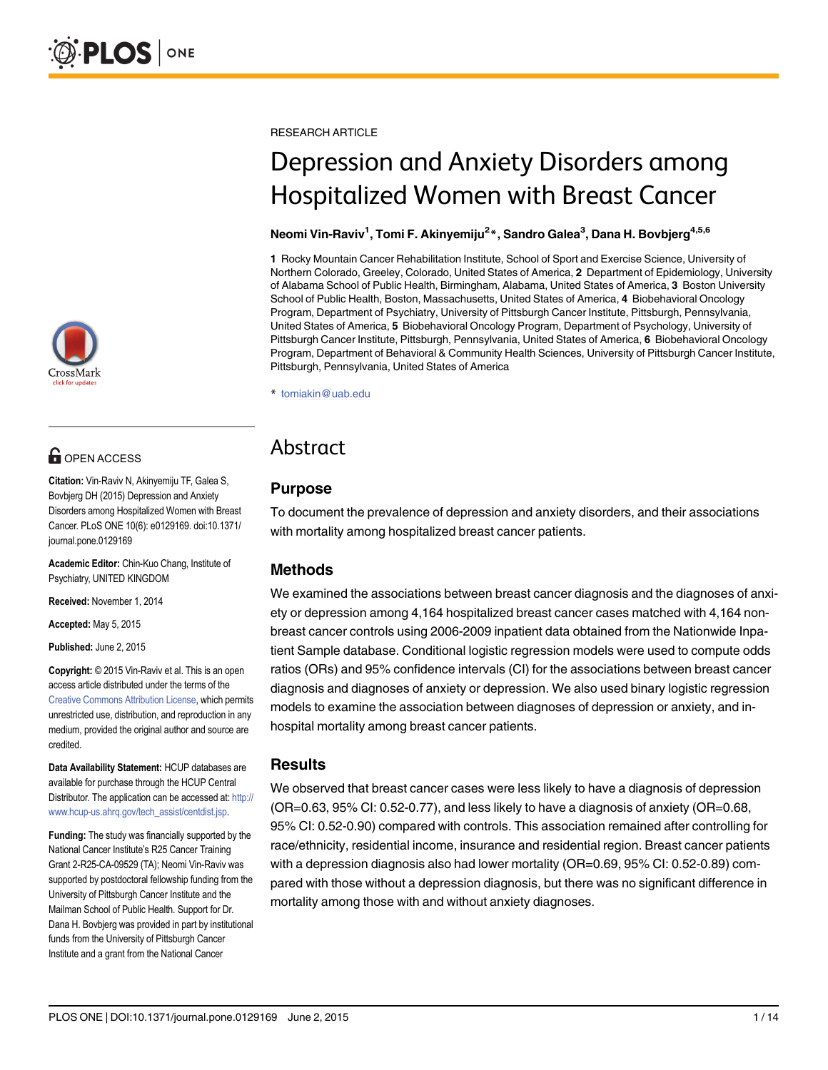

# **OPEN ACCESS**

Citation: Vin-Raviv N, Akinyemiju TF, Galea S, Bovbjerg DH (2015) Depression and Anxiety Disorders among Hospitalized Women with Breast Cancer. PLoS ONE 10(6): e0129169. doi:10.1371/ journal.pone.0129169

Academic Editor: Chin-Kuo Chang, Institute of Psychiatry, UNITED KINGDOM

Received: November 1, 2014

Accepted: May 5, 2015

Published: June 2, 2015

Copyright: © 2015 Vin-Raviv et al. This is an open access article distributed under the terms of the [Creative Commons Attribution License,](http://creativecommons.org/licenses/by/4.0/) which permits unrestricted use, distribution, and reproduction in any medium, provided the original author and source are credited.

Data Availability Statement: HCUP databases are available for purchase through the HCUP Central Distributor. The application can be accessed at: [http://](http://www.hcup-us.ahrq.gov/tech_assist/centdist.jsp) [www.hcup-us.ahrq.gov/tech\\_assist/centdist.jsp.](http://www.hcup-us.ahrq.gov/tech_assist/centdist.jsp)

Funding: The study was financially supported by the National Cancer Institute's R25 Cancer Training Grant 2-R25-CA-09529 (TA); Neomi Vin-Raviv was supported by postdoctoral fellowship funding from the University of Pittsburgh Cancer Institute and the Mailman School of Public Health. Support for Dr. Dana H. Bovbjerg was provided in part by institutional funds from the University of Pittsburgh Cancer Institute and a grant from the National Cancer

RESEARCH ARTICLE

# Depression and Anxiety Disorders among Hospitalized Women with Breast Cancer

#### Neomi Vin-Raviv<sup>1</sup>, Tomi F. Akinyemiju<sup>2</sup>\*, Sandro Galea<sup>3</sup>, Dana H. Bovbjerg<sup>4,5,6</sup>

1 Rocky Mountain Cancer Rehabilitation Institute, School of Sport and Exercise Science, University of Northern Colorado, Greeley, Colorado, United States of America, 2 Department of Epidemiology, University of Alabama School of Public Health, Birmingham, Alabama, United States of America, 3 Boston University School of Public Health, Boston, Massachusetts, United States of America, 4 Biobehavioral Oncology Program, Department of Psychiatry, University of Pittsburgh Cancer Institute, Pittsburgh, Pennsylvania, United States of America, 5 Biobehavioral Oncology Program, Department of Psychology, University of Pittsburgh Cancer Institute, Pittsburgh, Pennsylvania, United States of America, 6 Biobehavioral Oncology Program, Department of Behavioral & Community Health Sciences, University of Pittsburgh Cancer Institute, Pittsburgh, Pennsylvania, United States of America

\* tomiakin@uab.edu

# Abstract

# Purpose

To document the prevalence of depression and anxiety disorders, and their associations with mortality among hospitalized breast cancer patients.

# Methods

We examined the associations between breast cancer diagnosis and the diagnoses of anxiety or depression among 4,164 hospitalized breast cancer cases matched with 4,164 nonbreast cancer controls using 2006-2009 inpatient data obtained from the Nationwide Inpatient Sample database. Conditional logistic regression models were used to compute odds ratios (ORs) and 95% confidence intervals (CI) for the associations between breast cancer diagnosis and diagnoses of anxiety or depression. We also used binary logistic regression models to examine the association between diagnoses of depression or anxiety, and inhospital mortality among breast cancer patients.

# **Results**

We observed that breast cancer cases were less likely to have a diagnosis of depression (OR=0.63, 95% CI: 0.52-0.77), and less likely to have a diagnosis of anxiety (OR=0.68, 95% CI: 0.52-0.90) compared with controls. This association remained after controlling for race/ethnicity, residential income, insurance and residential region. Breast cancer patients with a depression diagnosis also had lower mortality (OR=0.69, 95% CI: 0.52-0.89) compared with those without a depression diagnosis, but there was no significant difference in mortality among those with and without anxiety diagnoses.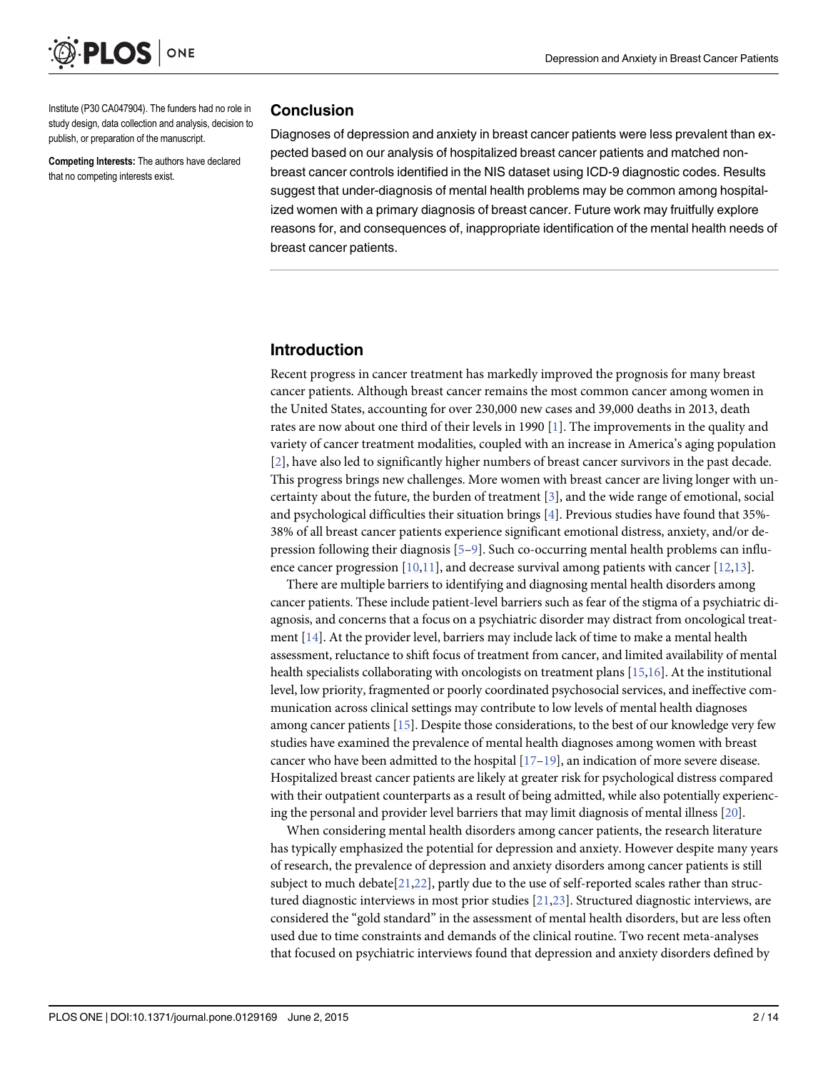<span id="page-1-0"></span>

Institute (P30 CA047904). The funders had no role in study design, data collection and analysis, decision to publish, or preparation of the manuscript.

Competing Interests: The authors have declared that no competing interests exist.

#### Conclusion

Diagnoses of depression and anxiety in breast cancer patients were less prevalent than expected based on our analysis of hospitalized breast cancer patients and matched nonbreast cancer controls identified in the NIS dataset using ICD-9 diagnostic codes. Results suggest that under-diagnosis of mental health problems may be common among hospitalized women with a primary diagnosis of breast cancer. Future work may fruitfully explore reasons for, and consequences of, inappropriate identification of the mental health needs of breast cancer patients.

#### Introduction

Recent progress in cancer treatment has markedly improved the prognosis for many breast cancer patients. Although breast cancer remains the most common cancer among women in the United States, accounting for over 230,000 new cases and 39,000 deaths in 2013, death rates are now about one third of their levels in 1990 [\[1](#page-11-0)]. The improvements in the quality and variety of cancer treatment modalities, coupled with an increase in America's aging population [\[2](#page-11-0)], have also led to significantly higher numbers of breast cancer survivors in the past decade. This progress brings new challenges. More women with breast cancer are living longer with uncertainty about the future, the burden of treatment [[3\]](#page-11-0), and the wide range of emotional, social and psychological difficulties their situation brings [[4](#page-11-0)]. Previous studies have found that 35%- 38% of all breast cancer patients experience significant emotional distress, anxiety, and/or de-pression following their diagnosis [[5](#page-11-0)-[9\]](#page-11-0). Such co-occurring mental health problems can influence cancer progression  $[10,11]$  $[10,11]$ , and decrease survival among patients with cancer  $[12,13]$  $[12,13]$ .

There are multiple barriers to identifying and diagnosing mental health disorders among cancer patients. These include patient-level barriers such as fear of the stigma of a psychiatric diagnosis, and concerns that a focus on a psychiatric disorder may distract from oncological treatment [\[14\]](#page-11-0). At the provider level, barriers may include lack of time to make a mental health assessment, reluctance to shift focus of treatment from cancer, and limited availability of mental health specialists collaborating with oncologists on treatment plans [\[15,16\]](#page-11-0). At the institutional level, low priority, fragmented or poorly coordinated psychosocial services, and ineffective communication across clinical settings may contribute to low levels of mental health diagnoses among cancer patients [\[15\]](#page-11-0). Despite those considerations, to the best of our knowledge very few studies have examined the prevalence of mental health diagnoses among women with breast cancer who have been admitted to the hospital  $[17-19]$  $[17-19]$  $[17-19]$  $[17-19]$ , an indication of more severe disease. Hospitalized breast cancer patients are likely at greater risk for psychological distress compared with their outpatient counterparts as a result of being admitted, while also potentially experiencing the personal and provider level barriers that may limit diagnosis of mental illness [\[20\]](#page-12-0).

When considering mental health disorders among cancer patients, the research literature has typically emphasized the potential for depression and anxiety. However despite many years of research, the prevalence of depression and anxiety disorders among cancer patients is still subject to much debate $[21,22]$  $[21,22]$ , partly due to the use of self-reported scales rather than structured diagnostic interviews in most prior studies [[21,23](#page-12-0)]. Structured diagnostic interviews, are considered the "gold standard" in the assessment of mental health disorders, but are less often used due to time constraints and demands of the clinical routine. Two recent meta-analyses that focused on psychiatric interviews found that depression and anxiety disorders defined by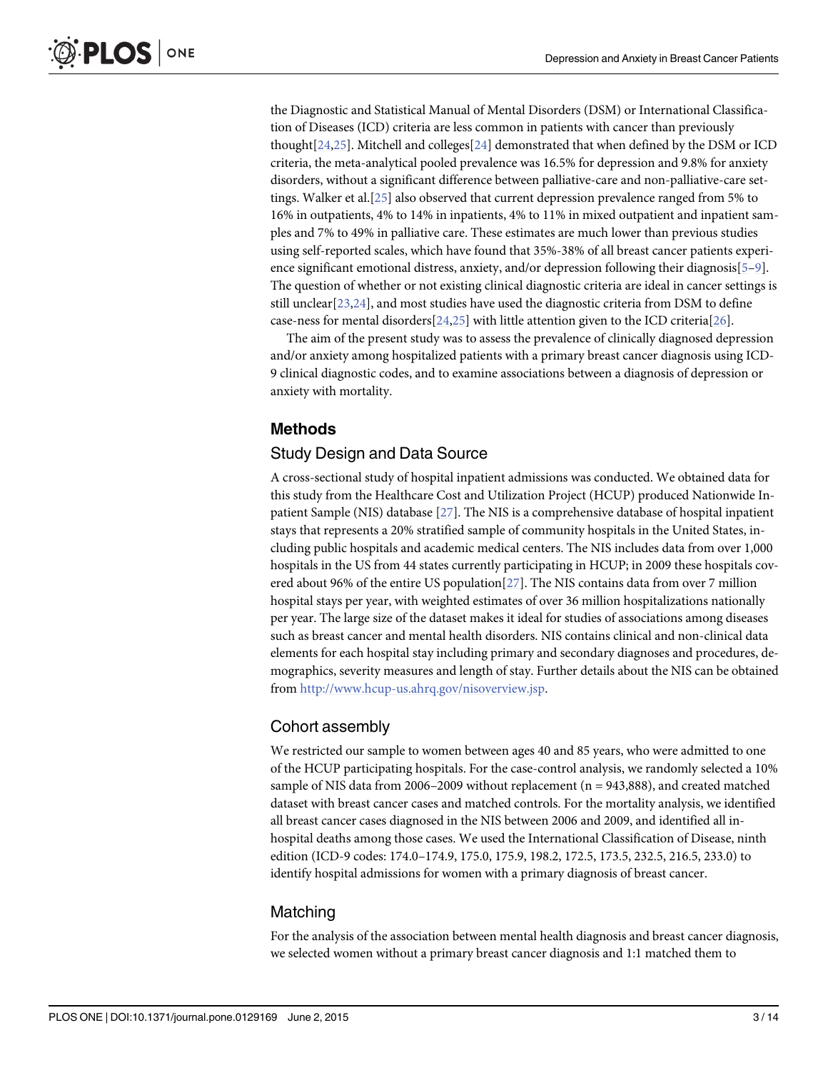<span id="page-2-0"></span>the Diagnostic and Statistical Manual of Mental Disorders (DSM) or International Classification of Diseases (ICD) criteria are less common in patients with cancer than previously thought $[24,25]$  $[24,25]$  $[24,25]$ . Mitchell and colleges $[24]$  $[24]$  demonstrated that when defined by the DSM or ICD criteria, the meta-analytical pooled prevalence was 16.5% for depression and 9.8% for anxiety disorders, without a significant difference between palliative-care and non-palliative-care settings. Walker et al.[\[25\]](#page-12-0) also observed that current depression prevalence ranged from 5% to 16% in outpatients, 4% to 14% in inpatients, 4% to 11% in mixed outpatient and inpatient samples and 7% to 49% in palliative care. These estimates are much lower than previous studies using self-reported scales, which have found that 35%-38% of all breast cancer patients experi-ence significant emotional distress, anxiety, and/or depression following their diagnosis[[5](#page-11-0)-[9](#page-11-0)]. The question of whether or not existing clinical diagnostic criteria are ideal in cancer settings is still unclear  $[23,24]$ , and most studies have used the diagnostic criteria from DSM to define case-ness for mental disorders $[24,25]$  $[24,25]$  $[24,25]$  $[24,25]$  $[24,25]$  with little attention given to the ICD criteria $[26]$  $[26]$  $[26]$ .

The aim of the present study was to assess the prevalence of clinically diagnosed depression and/or anxiety among hospitalized patients with a primary breast cancer diagnosis using ICD-9 clinical diagnostic codes, and to examine associations between a diagnosis of depression or anxiety with mortality.

# Methods

# Study Design and Data Source

A cross-sectional study of hospital inpatient admissions was conducted. We obtained data for this study from the Healthcare Cost and Utilization Project (HCUP) produced Nationwide Inpatient Sample (NIS) database [[27](#page-12-0)]. The NIS is a comprehensive database of hospital inpatient stays that represents a 20% stratified sample of community hospitals in the United States, including public hospitals and academic medical centers. The NIS includes data from over 1,000 hospitals in the US from 44 states currently participating in HCUP; in 2009 these hospitals covered about 96% of the entire US population[[27](#page-12-0)]. The NIS contains data from over 7 million hospital stays per year, with weighted estimates of over 36 million hospitalizations nationally per year. The large size of the dataset makes it ideal for studies of associations among diseases such as breast cancer and mental health disorders. NIS contains clinical and non-clinical data elements for each hospital stay including primary and secondary diagnoses and procedures, demographics, severity measures and length of stay. Further details about the NIS can be obtained from <http://www.hcup-us.ahrq.gov/nisoverview.jsp>.

#### Cohort assembly

We restricted our sample to women between ages 40 and 85 years, who were admitted to one of the HCUP participating hospitals. For the case-control analysis, we randomly selected a 10% sample of NIS data from 2006–2009 without replacement ( $n = 943,888$ ), and created matched dataset with breast cancer cases and matched controls. For the mortality analysis, we identified all breast cancer cases diagnosed in the NIS between 2006 and 2009, and identified all inhospital deaths among those cases. We used the International Classification of Disease, ninth edition (ICD-9 codes: 174.0–174.9, 175.0, 175.9, 198.2, 172.5, 173.5, 232.5, 216.5, 233.0) to identify hospital admissions for women with a primary diagnosis of breast cancer.

#### Matching

For the analysis of the association between mental health diagnosis and breast cancer diagnosis, we selected women without a primary breast cancer diagnosis and 1:1 matched them to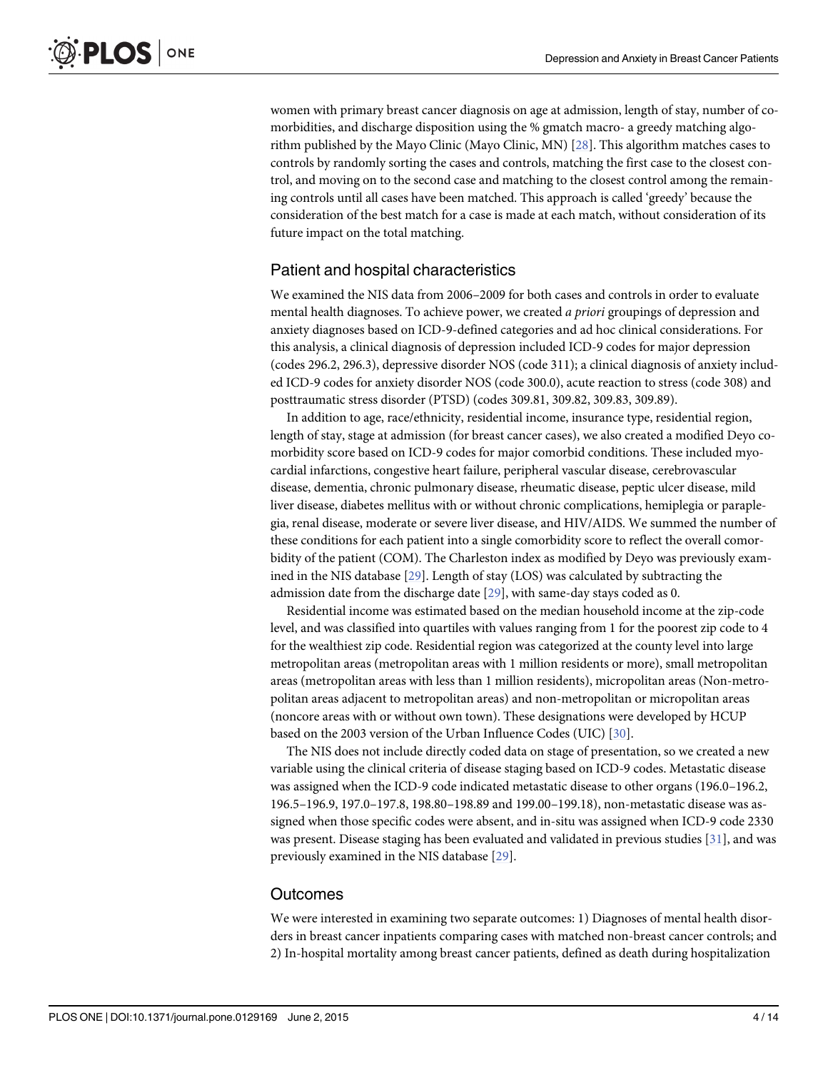<span id="page-3-0"></span>women with primary breast cancer diagnosis on age at admission, length of stay, number of comorbidities, and discharge disposition using the % gmatch macro- a greedy matching algorithm published by the Mayo Clinic (Mayo Clinic, MN) [[28](#page-12-0)]. This algorithm matches cases to controls by randomly sorting the cases and controls, matching the first case to the closest control, and moving on to the second case and matching to the closest control among the remaining controls until all cases have been matched. This approach is called 'greedy' because the consideration of the best match for a case is made at each match, without consideration of its future impact on the total matching.

# Patient and hospital characteristics

We examined the NIS data from 2006–2009 for both cases and controls in order to evaluate mental health diagnoses. To achieve power, we created a priori groupings of depression and anxiety diagnoses based on ICD-9-defined categories and ad hoc clinical considerations. For this analysis, a clinical diagnosis of depression included ICD-9 codes for major depression (codes 296.2, 296.3), depressive disorder NOS (code 311); a clinical diagnosis of anxiety included ICD-9 codes for anxiety disorder NOS (code 300.0), acute reaction to stress (code 308) and posttraumatic stress disorder (PTSD) (codes 309.81, 309.82, 309.83, 309.89).

In addition to age, race/ethnicity, residential income, insurance type, residential region, length of stay, stage at admission (for breast cancer cases), we also created a modified Deyo comorbidity score based on ICD-9 codes for major comorbid conditions. These included myocardial infarctions, congestive heart failure, peripheral vascular disease, cerebrovascular disease, dementia, chronic pulmonary disease, rheumatic disease, peptic ulcer disease, mild liver disease, diabetes mellitus with or without chronic complications, hemiplegia or paraplegia, renal disease, moderate or severe liver disease, and HIV/AIDS. We summed the number of these conditions for each patient into a single comorbidity score to reflect the overall comorbidity of the patient (COM). The Charleston index as modified by Deyo was previously examined in the NIS database [\[29\]](#page-12-0). Length of stay (LOS) was calculated by subtracting the admission date from the discharge date [[29](#page-12-0)], with same-day stays coded as 0.

Residential income was estimated based on the median household income at the zip-code level, and was classified into quartiles with values ranging from 1 for the poorest zip code to 4 for the wealthiest zip code. Residential region was categorized at the county level into large metropolitan areas (metropolitan areas with 1 million residents or more), small metropolitan areas (metropolitan areas with less than 1 million residents), micropolitan areas (Non-metropolitan areas adjacent to metropolitan areas) and non-metropolitan or micropolitan areas (noncore areas with or without own town). These designations were developed by HCUP based on the 2003 version of the Urban Influence Codes (UIC) [\[30](#page-12-0)].

The NIS does not include directly coded data on stage of presentation, so we created a new variable using the clinical criteria of disease staging based on ICD-9 codes. Metastatic disease was assigned when the ICD-9 code indicated metastatic disease to other organs (196.0–196.2, 196.5–196.9, 197.0–197.8, 198.80–198.89 and 199.00–199.18), non-metastatic disease was assigned when those specific codes were absent, and in-situ was assigned when ICD-9 code 2330 was present. Disease staging has been evaluated and validated in previous studies  $[31]$  $[31]$  $[31]$ , and was previously examined in the NIS database [[29](#page-12-0)].

#### **Outcomes**

We were interested in examining two separate outcomes: 1) Diagnoses of mental health disorders in breast cancer inpatients comparing cases with matched non-breast cancer controls; and 2) In-hospital mortality among breast cancer patients, defined as death during hospitalization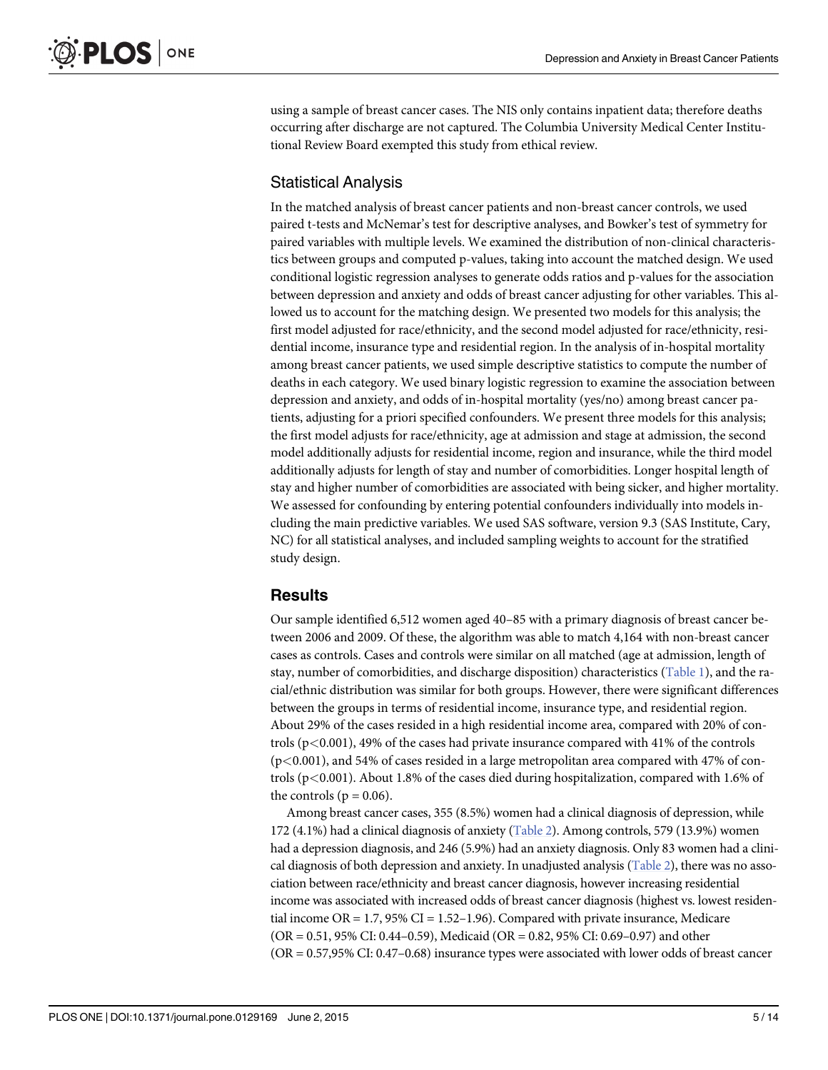<span id="page-4-0"></span>using a sample of breast cancer cases. The NIS only contains inpatient data; therefore deaths occurring after discharge are not captured. The Columbia University Medical Center Institutional Review Board exempted this study from ethical review.

# Statistical Analysis

In the matched analysis of breast cancer patients and non-breast cancer controls, we used paired t-tests and McNemar's test for descriptive analyses, and Bowker's test of symmetry for paired variables with multiple levels. We examined the distribution of non-clinical characteristics between groups and computed p-values, taking into account the matched design. We used conditional logistic regression analyses to generate odds ratios and p-values for the association between depression and anxiety and odds of breast cancer adjusting for other variables. This allowed us to account for the matching design. We presented two models for this analysis; the first model adjusted for race/ethnicity, and the second model adjusted for race/ethnicity, residential income, insurance type and residential region. In the analysis of in-hospital mortality among breast cancer patients, we used simple descriptive statistics to compute the number of deaths in each category. We used binary logistic regression to examine the association between depression and anxiety, and odds of in-hospital mortality (yes/no) among breast cancer patients, adjusting for a priori specified confounders. We present three models for this analysis; the first model adjusts for race/ethnicity, age at admission and stage at admission, the second model additionally adjusts for residential income, region and insurance, while the third model additionally adjusts for length of stay and number of comorbidities. Longer hospital length of stay and higher number of comorbidities are associated with being sicker, and higher mortality. We assessed for confounding by entering potential confounders individually into models including the main predictive variables. We used SAS software, version 9.3 (SAS Institute, Cary, NC) for all statistical analyses, and included sampling weights to account for the stratified study design.

# **Results**

Our sample identified 6,512 women aged 40–85 with a primary diagnosis of breast cancer between 2006 and 2009. Of these, the algorithm was able to match 4,164 with non-breast cancer cases as controls. Cases and controls were similar on all matched (age at admission, length of stay, number of comorbidities, and discharge disposition) characteristics [\(Table 1](#page-5-0)), and the racial/ethnic distribution was similar for both groups. However, there were significant differences between the groups in terms of residential income, insurance type, and residential region. About 29% of the cases resided in a high residential income area, compared with 20% of controls (p<0.001), 49% of the cases had private insurance compared with 41% of the controls (p<0.001), and 54% of cases resided in a large metropolitan area compared with 47% of controls (p<0.001). About 1.8% of the cases died during hospitalization, compared with 1.6% of the controls ( $p = 0.06$ ).

Among breast cancer cases, 355 (8.5%) women had a clinical diagnosis of depression, while 172 (4.1%) had a clinical diagnosis of anxiety ([Table 2](#page-6-0)). Among controls, 579 (13.9%) women had a depression diagnosis, and 246 (5.9%) had an anxiety diagnosis. Only 83 women had a clinical diagnosis of both depression and anxiety. In unadjusted analysis [\(Table 2\)](#page-6-0), there was no association between race/ethnicity and breast cancer diagnosis, however increasing residential income was associated with increased odds of breast cancer diagnosis (highest vs. lowest residential income  $OR = 1.7$ , 95% CI = 1.52–1.96). Compared with private insurance, Medicare (OR = 0.51, 95% CI: 0.44–0.59), Medicaid (OR = 0.82, 95% CI: 0.69–0.97) and other (OR = 0.57,95% CI: 0.47–0.68) insurance types were associated with lower odds of breast cancer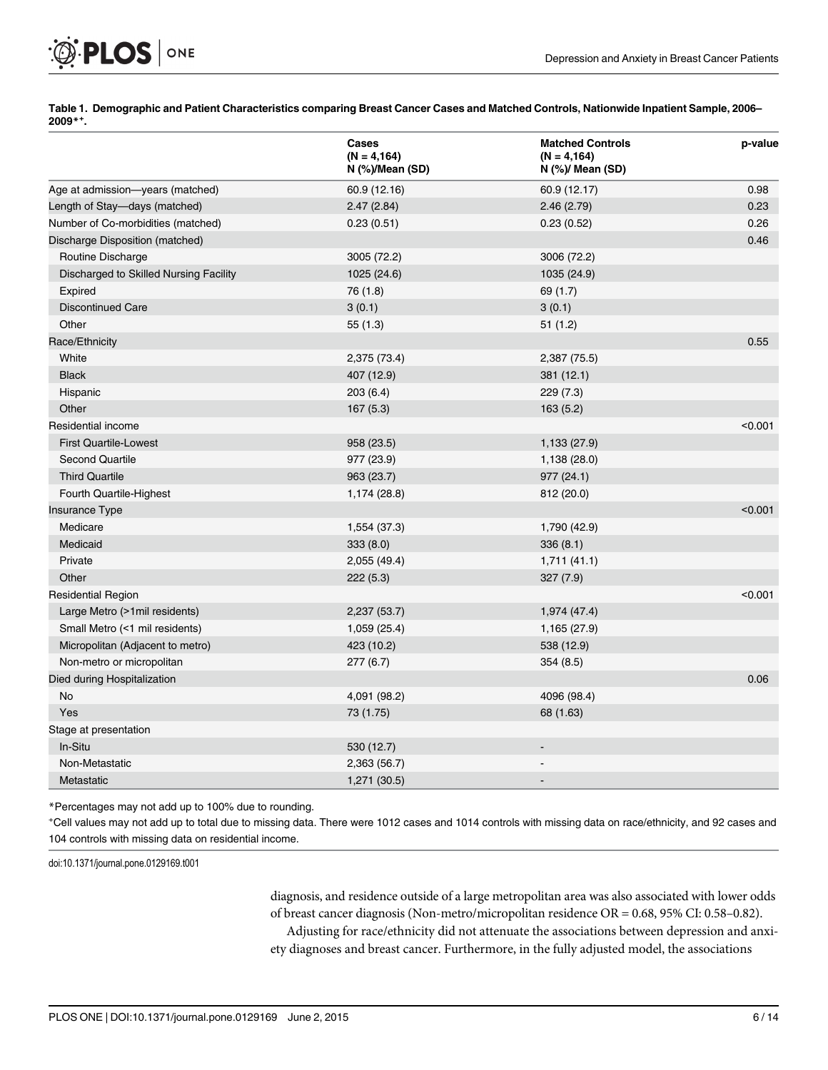[Table 1.](#page-4-0) Demographic and Patient Characteristics comparing Breast Cancer Cases and Matched Controls, Nationwide Inpatient Sample, 2006– 2009\*<sup>+</sup> .

|                                        | Cases<br>$(N = 4, 164)$<br>$N$ (%)/Mean (SD) | <b>Matched Controls</b><br>$(N = 4, 164)$<br>$N$ (%)/ Mean (SD) | p-value |
|----------------------------------------|----------------------------------------------|-----------------------------------------------------------------|---------|
| Age at admission-years (matched)       | 60.9 (12.16)                                 | 60.9 (12.17)                                                    | 0.98    |
| Length of Stay-days (matched)          | 2.47(2.84)                                   | 2.46(2.79)                                                      | 0.23    |
| Number of Co-morbidities (matched)     | 0.23(0.51)                                   | 0.23(0.52)                                                      | 0.26    |
| Discharge Disposition (matched)        |                                              |                                                                 | 0.46    |
| Routine Discharge                      | 3005 (72.2)                                  | 3006 (72.2)                                                     |         |
| Discharged to Skilled Nursing Facility | 1025 (24.6)                                  | 1035 (24.9)                                                     |         |
| Expired                                | 76 (1.8)                                     | 69 (1.7)                                                        |         |
| <b>Discontinued Care</b>               | 3(0.1)                                       | 3(0.1)                                                          |         |
| Other                                  | 55(1.3)                                      | 51(1.2)                                                         |         |
| Race/Ethnicity                         |                                              |                                                                 | 0.55    |
| White                                  | 2,375 (73.4)                                 | 2,387 (75.5)                                                    |         |
| <b>Black</b>                           | 407 (12.9)                                   | 381 (12.1)                                                      |         |
| Hispanic                               | 203(6.4)                                     | 229 (7.3)                                                       |         |
| Other                                  | 167(5.3)                                     | 163(5.2)                                                        |         |
| Residential income                     |                                              |                                                                 | < 0.001 |
| <b>First Quartile-Lowest</b>           | 958 (23.5)                                   | 1,133 (27.9)                                                    |         |
| <b>Second Quartile</b>                 | 977 (23.9)                                   | 1,138 (28.0)                                                    |         |
| <b>Third Quartile</b>                  | 963 (23.7)                                   | 977(24.1)                                                       |         |
| Fourth Quartile-Highest                | 1,174 (28.8)                                 | 812 (20.0)                                                      |         |
| <b>Insurance Type</b>                  |                                              |                                                                 | < 0.001 |
| Medicare                               | 1,554 (37.3)                                 | 1,790 (42.9)                                                    |         |
| Medicaid                               | 333(8.0)                                     | 336(8.1)                                                        |         |
| Private                                | 2,055 (49.4)                                 | 1,711(41.1)                                                     |         |
| Other                                  | 222(5.3)                                     | 327(7.9)                                                        |         |
| <b>Residential Region</b>              |                                              |                                                                 | < 0.001 |
| Large Metro (>1mil residents)          | 2,237 (53.7)                                 | 1,974 (47.4)                                                    |         |
| Small Metro (<1 mil residents)         | 1,059 (25.4)                                 | 1,165 (27.9)                                                    |         |
| Micropolitan (Adjacent to metro)       | 423 (10.2)                                   | 538 (12.9)                                                      |         |
| Non-metro or micropolitan              | 277(6.7)                                     | 354(8.5)                                                        |         |
| Died during Hospitalization            |                                              |                                                                 | 0.06    |
| <b>No</b>                              | 4,091 (98.2)                                 | 4096 (98.4)                                                     |         |
| Yes                                    | 73 (1.75)                                    | 68 (1.63)                                                       |         |
| Stage at presentation                  |                                              |                                                                 |         |
| In-Situ                                | 530 (12.7)                                   |                                                                 |         |
| Non-Metastatic                         | 2,363 (56.7)                                 |                                                                 |         |
| Metastatic                             | 1,271 (30.5)                                 |                                                                 |         |

\*Percentages may not add up to 100% due to rounding.

+ Cell values may not add up to total due to missing data. There were 1012 cases and 1014 controls with missing data on race/ethnicity, and 92 cases and 104 controls with missing data on residential income.

doi:10.1371/journal.pone.0129169.t001

<span id="page-5-0"></span>**PLOS** | ONE

diagnosis, and residence outside of a large metropolitan area was also associated with lower odds of breast cancer diagnosis (Non-metro/micropolitan residence OR = 0.68, 95% CI: 0.58–0.82). Adjusting for race/ethnicity did not attenuate the associations between depression and anxiety diagnoses and breast cancer. Furthermore, in the fully adjusted model, the associations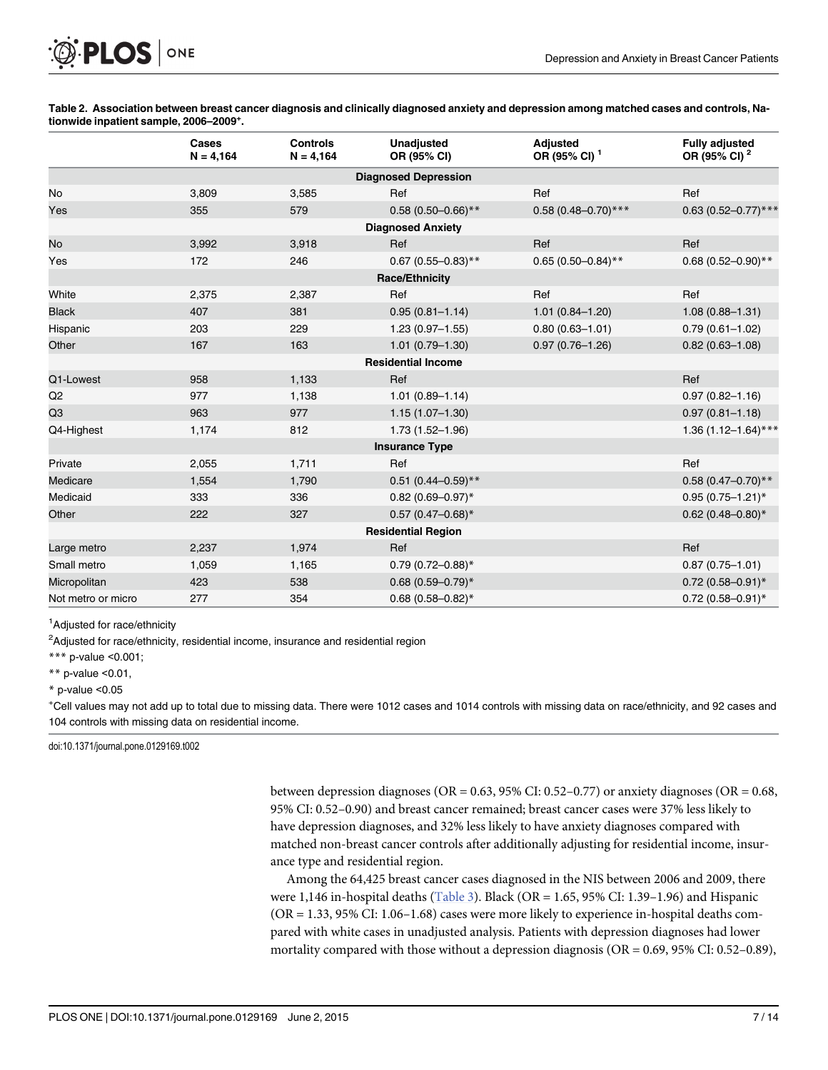<span id="page-6-0"></span>[Table 2.](#page-4-0) Association between breast cancer diagnosis and clinically diagnosed anxiety and depression among matched cases and controls, Nationwide inpatient sample, 2006–2009<sup>+</sup>.

|                             | Cases<br>$N = 4,164$ | <b>Controls</b><br>$N = 4,164$ | <b>Unadjusted</b><br>OR (95% CI) | <b>Adjusted</b><br>OR (95% CI) <sup>1</sup> | <b>Fully adjusted</b><br>OR (95% CI) <sup>2</sup> |  |  |  |  |
|-----------------------------|----------------------|--------------------------------|----------------------------------|---------------------------------------------|---------------------------------------------------|--|--|--|--|
| <b>Diagnosed Depression</b> |                      |                                |                                  |                                             |                                                   |  |  |  |  |
| No                          | 3,809                | 3,585                          | Ref                              | Ref                                         | Ref                                               |  |  |  |  |
| Yes                         | 355                  | 579                            | $0.58(0.50 - 0.66)$ **           | $0.58(0.48 - 0.70)$ ***                     | $0.63(0.52 - 0.77)$ ***                           |  |  |  |  |
| <b>Diagnosed Anxiety</b>    |                      |                                |                                  |                                             |                                                   |  |  |  |  |
| No                          | 3,992                | 3,918                          | Ref                              | Ref                                         | Ref                                               |  |  |  |  |
| Yes                         | 172                  | 246                            | $0.67$ (0.55-0.83)**             | $0.65(0.50-0.84)$ **                        | $0.68(0.52 - 0.90)$ **                            |  |  |  |  |
| <b>Race/Ethnicity</b>       |                      |                                |                                  |                                             |                                                   |  |  |  |  |
| White                       | 2,375                | 2,387                          | Ref                              | Ref                                         | Ref                                               |  |  |  |  |
| <b>Black</b>                | 407                  | 381                            | $0.95(0.81 - 1.14)$              | $1.01(0.84 - 1.20)$                         | $1.08(0.88 - 1.31)$                               |  |  |  |  |
| Hispanic                    | 203                  | 229                            | $1.23(0.97 - 1.55)$              | $0.80(0.63 - 1.01)$                         | $0.79(0.61 - 1.02)$                               |  |  |  |  |
| Other                       | 167                  | 163                            | $1.01(0.79 - 1.30)$              | $0.97(0.76 - 1.26)$                         | $0.82(0.63 - 1.08)$                               |  |  |  |  |
|                             |                      |                                | <b>Residential Income</b>        |                                             |                                                   |  |  |  |  |
| Q1-Lowest                   | 958                  | 1,133                          | Ref                              |                                             | Ref                                               |  |  |  |  |
| Q <sub>2</sub>              | 977                  | 1,138                          | $1.01(0.89 - 1.14)$              |                                             | $0.97(0.82 - 1.16)$                               |  |  |  |  |
| Q <sub>3</sub>              | 963                  | 977                            | $1.15(1.07 - 1.30)$              |                                             | $0.97(0.81 - 1.18)$                               |  |  |  |  |
| Q4-Highest                  | 1,174                | 812                            | $1.73(1.52 - 1.96)$              |                                             | $1.36(1.12 - 1.64)$ ***                           |  |  |  |  |
|                             |                      |                                | <b>Insurance Type</b>            |                                             |                                                   |  |  |  |  |
| Private                     | 2,055                | 1,711                          | Ref                              |                                             | Ref                                               |  |  |  |  |
| Medicare                    | 1,554                | 1,790                          | $0.51$ (0.44-0.59)**             |                                             | $0.58(0.47 - 0.70)$ **                            |  |  |  |  |
| Medicaid                    | 333                  | 336                            | $0.82(0.69 - 0.97)^*$            |                                             | $0.95(0.75 - 1.21)^*$                             |  |  |  |  |
| Other                       | 222                  | 327                            | $0.57(0.47 - 0.68)$ *            |                                             | $0.62(0.48 - 0.80)$ *                             |  |  |  |  |
| <b>Residential Region</b>   |                      |                                |                                  |                                             |                                                   |  |  |  |  |
| Large metro                 | 2,237                | 1,974                          | Ref                              |                                             | Ref                                               |  |  |  |  |
| Small metro                 | 1,059                | 1,165                          | $0.79(0.72 - 0.88)$ *            |                                             | $0.87(0.75 - 1.01)$                               |  |  |  |  |
| Micropolitan                | 423                  | 538                            | $0.68(0.59 - 0.79)^*$            |                                             | $0.72(0.58 - 0.91)^*$                             |  |  |  |  |
| Not metro or micro          | 277                  | 354                            | $0.68(0.58 - 0.82)$ *            |                                             | $0.72(0.58 - 0.91)^*$                             |  |  |  |  |

<sup>1</sup>Adjusted for race/ethnicity

<sup>2</sup>Adjusted for race/ethnicity, residential income, insurance and residential region

\*\*\* p-value <0.001;

\*\* p-value  $< 0.01$ ,

 $*$  p-value  $< 0.05$ 

+ Cell values may not add up to total due to missing data. There were 1012 cases and 1014 controls with missing data on race/ethnicity, and 92 cases and 104 controls with missing data on residential income.

doi:10.1371/journal.pone.0129169.t002

between depression diagnoses (OR =  $0.63$ , 95% CI:  $0.52-0.77$ ) or anxiety diagnoses (OR =  $0.68$ , 95% CI: 0.52–0.90) and breast cancer remained; breast cancer cases were 37% less likely to have depression diagnoses, and 32% less likely to have anxiety diagnoses compared with matched non-breast cancer controls after additionally adjusting for residential income, insurance type and residential region.

Among the 64,425 breast cancer cases diagnosed in the NIS between 2006 and 2009, there were 1,146 in-hospital deaths [\(Table 3\)](#page-7-0). Black (OR = 1.65, 95% CI: 1.39–1.96) and Hispanic (OR = 1.33, 95% CI: 1.06–1.68) cases were more likely to experience in-hospital deaths compared with white cases in unadjusted analysis. Patients with depression diagnoses had lower mortality compared with those without a depression diagnosis (OR = 0.69, 95% CI: 0.52–0.89),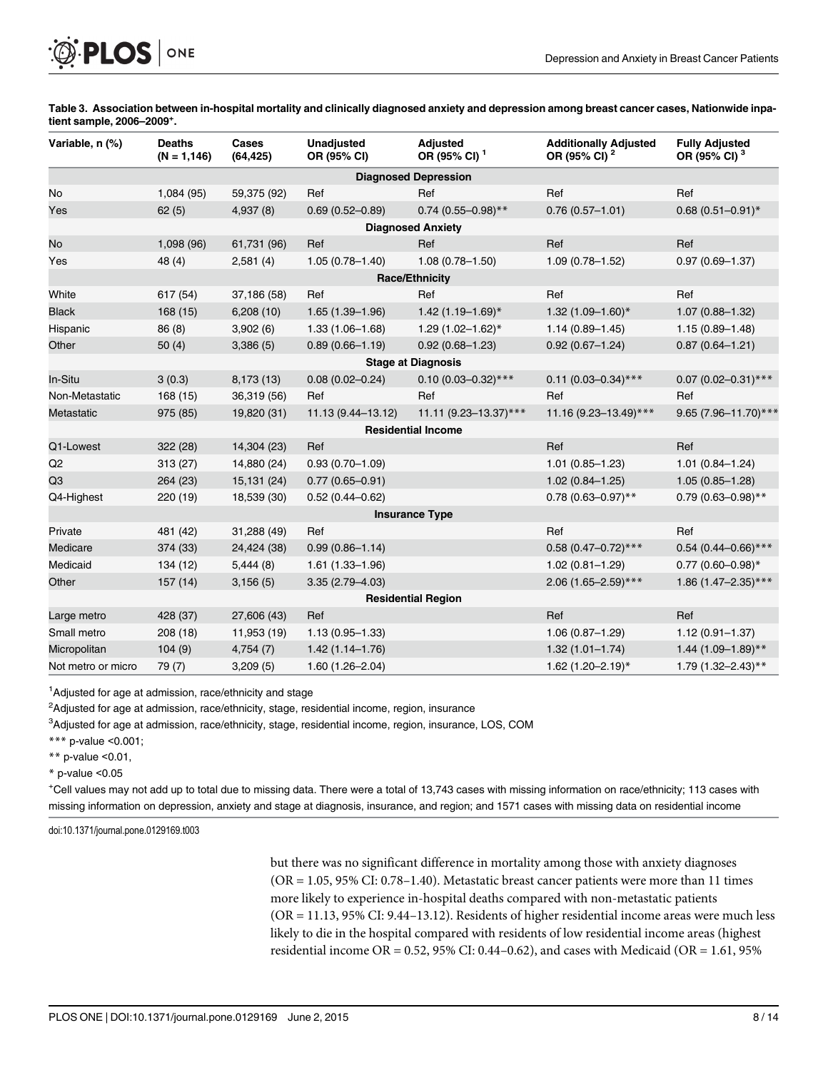<span id="page-7-0"></span>[Table 3.](#page-6-0) Association between in-hospital mortality and clinically diagnosed anxiety and depression among breast cancer cases, Nationwide inpatient sample, 2006–2009<sup>+</sup>.

| Variable, n (%)             | <b>Deaths</b><br>$(N = 1, 146)$ | Cases<br>(64, 425) | <b>Unadjusted</b><br>OR (95% CI) | <b>Adjusted</b><br>OR (95% CI) <sup>1</sup> | <b>Additionally Adjusted</b><br>OR (95% CI) <sup>2</sup> | <b>Fully Adjusted</b><br>OR (95% CI) <sup>3</sup> |  |  |  |
|-----------------------------|---------------------------------|--------------------|----------------------------------|---------------------------------------------|----------------------------------------------------------|---------------------------------------------------|--|--|--|
| <b>Diagnosed Depression</b> |                                 |                    |                                  |                                             |                                                          |                                                   |  |  |  |
| No                          | 1,084(95)                       | 59,375 (92)        | Ref                              | Ref                                         | Ref                                                      | Ref                                               |  |  |  |
| Yes                         | 62(5)                           | 4,937(8)           | $0.69(0.52 - 0.89)$              | $0.74$ (0.55-0.98)**                        | $0.76(0.57 - 1.01)$                                      | $0.68(0.51 - 0.91)^*$                             |  |  |  |
| <b>Diagnosed Anxiety</b>    |                                 |                    |                                  |                                             |                                                          |                                                   |  |  |  |
| No                          | 1,098 (96)                      | 61,731 (96)        | Ref                              | Ref                                         | Ref                                                      | Ref                                               |  |  |  |
| Yes                         | 48 (4)                          | 2,581(4)           | $1.05(0.78 - 1.40)$              | $1.08(0.78 - 1.50)$                         | $1.09(0.78 - 1.52)$                                      | $0.97(0.69 - 1.37)$                               |  |  |  |
|                             |                                 |                    |                                  | <b>Race/Ethnicity</b>                       |                                                          |                                                   |  |  |  |
| White                       | 617 (54)                        | 37,186 (58)        | Ref                              | Ref                                         | Ref                                                      | Ref                                               |  |  |  |
| <b>Black</b>                | 168(15)                         | 6,208(10)          | $1.65(1.39 - 1.96)$              | $1.42(1.19 - 1.69)^{*}$                     | $1.32(1.09 - 1.60)^*$                                    | $1.07(0.88 - 1.32)$                               |  |  |  |
| Hispanic                    | 86(8)                           | 3,902(6)           | $1.33(1.06 - 1.68)$              | $1.29(1.02 - 1.62)^*$                       | $1.14(0.89 - 1.45)$                                      | $1.15(0.89 - 1.48)$                               |  |  |  |
| Other                       | 50(4)                           | 3,386(5)           | $0.89(0.66 - 1.19)$              | $0.92(0.68 - 1.23)$                         | $0.92(0.67 - 1.24)$                                      | $0.87(0.64 - 1.21)$                               |  |  |  |
|                             |                                 |                    |                                  | <b>Stage at Diagnosis</b>                   |                                                          |                                                   |  |  |  |
| In-Situ                     | 3(0.3)                          | 8,173 (13)         | $0.08(0.02 - 0.24)$              | $0.10(0.03 - 0.32)$ ***                     | $0.11$ (0.03-0.34)***                                    | $0.07$ (0.02-0.31)***                             |  |  |  |
| Non-Metastatic              | 168(15)                         | 36,319 (56)        | Ref                              | Ref                                         | Ref                                                      | Ref                                               |  |  |  |
| Metastatic                  | 975 (85)                        | 19,820 (31)        | 11.13 (9.44-13.12)               | 11.11 (9.23-13.37)***                       | 11.16 (9.23-13.49)***                                    | 9.65 (7.96-11.70)***                              |  |  |  |
|                             |                                 |                    |                                  | <b>Residential Income</b>                   |                                                          |                                                   |  |  |  |
| Q1-Lowest                   | 322 (28)                        | 14,304 (23)        | Ref                              |                                             | Ref                                                      | Ref                                               |  |  |  |
| Q2                          | 313 (27)                        | 14,880 (24)        | $0.93(0.70 - 1.09)$              |                                             | $1.01(0.85 - 1.23)$                                      | $1.01(0.84 - 1.24)$                               |  |  |  |
| Q3                          | 264 (23)                        | 15,131 (24)        | $0.77(0.65 - 0.91)$              |                                             | $1.02(0.84 - 1.25)$                                      | $1.05(0.85 - 1.28)$                               |  |  |  |
| Q4-Highest                  | 220 (19)                        | 18,539 (30)        | $0.52(0.44 - 0.62)$              |                                             | $0.78(0.63 - 0.97)$ **                                   | $0.79(0.63 - 0.98)$ **                            |  |  |  |
|                             |                                 |                    |                                  | <b>Insurance Type</b>                       |                                                          |                                                   |  |  |  |
| Private                     | 481 (42)                        | 31,288 (49)        | Ref                              |                                             | Ref                                                      | Ref                                               |  |  |  |
| Medicare                    | 374 (33)                        | 24,424 (38)        | $0.99(0.86 - 1.14)$              |                                             | $0.58(0.47-0.72)$ ***                                    | $0.54$ (0.44-0.66)***                             |  |  |  |
| Medicaid                    | 134 (12)                        | 5,444(8)           | $1.61(1.33 - 1.96)$              |                                             | $1.02(0.81 - 1.29)$                                      | $0.77$ (0.60-0.98)*                               |  |  |  |
| Other                       | 157(14)                         | 3,156(5)           | $3.35(2.79 - 4.03)$              |                                             | 2.06 (1.65-2.59)***                                      | 1.86 (1.47-2.35)***                               |  |  |  |
| <b>Residential Region</b>   |                                 |                    |                                  |                                             |                                                          |                                                   |  |  |  |
| Large metro                 | 428 (37)                        | 27,606 (43)        | Ref                              |                                             | Ref                                                      | Ref                                               |  |  |  |
| Small metro                 | 208(18)                         | 11,953 (19)        | $1.13(0.95 - 1.33)$              |                                             | $1.06(0.87 - 1.29)$                                      | $1.12(0.91 - 1.37)$                               |  |  |  |
| Micropolitan                | 104(9)                          | 4,754(7)           | $1.42(1.14 - 1.76)$              |                                             | $1.32(1.01 - 1.74)$                                      | $1.44$ (1.09-1.89)**                              |  |  |  |
| Not metro or micro          | 79 (7)                          | 3,209(5)           | $1.60(1.26 - 2.04)$              |                                             | 1.62 (1.20-2.19)*                                        | $1.79(1.32 - 2.43)$ **                            |  |  |  |

<sup>1</sup>Adjusted for age at admission, race/ethnicity and stage

<sup>2</sup>Adjusted for age at admission, race/ethnicity, stage, residential income, region, insurance

<sup>3</sup>Adjusted for age at admission, race/ethnicity, stage, residential income, region, insurance, LOS, COM

\*\*\* p-value <0.001;

\*\* p-value  $< 0.01$ ,

 $*$  p-value < $0.05$ 

+ Cell values may not add up to total due to missing data. There were a total of 13,743 cases with missing information on race/ethnicity; 113 cases with missing information on depression, anxiety and stage at diagnosis, insurance, and region; and 1571 cases with missing data on residential income

doi:10.1371/journal.pone.0129169.t003

but there was no significant difference in mortality among those with anxiety diagnoses (OR = 1.05, 95% CI: 0.78–1.40). Metastatic breast cancer patients were more than 11 times more likely to experience in-hospital deaths compared with non-metastatic patients (OR = 11.13, 95% CI: 9.44–13.12). Residents of higher residential income areas were much less likely to die in the hospital compared with residents of low residential income areas (highest residential income OR = 0.52, 95% CI: 0.44-0.62), and cases with Medicaid (OR = 1.61, 95%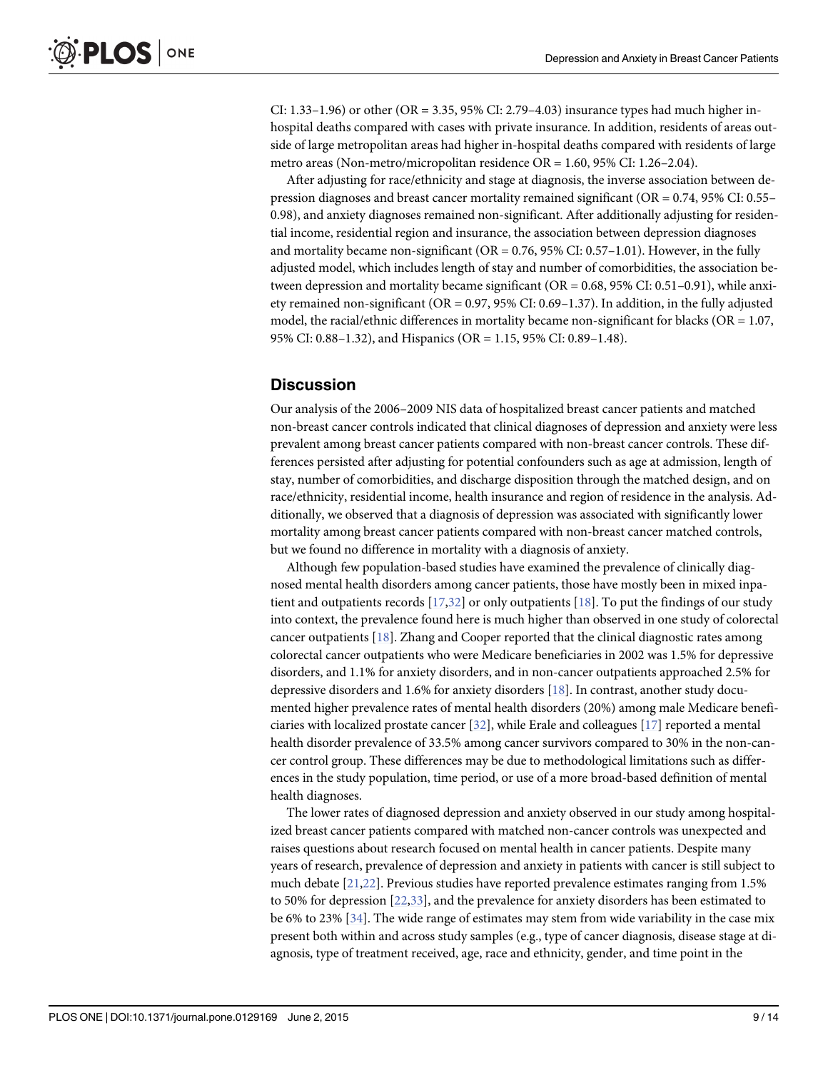<span id="page-8-0"></span>CI:  $1.33-1.96$ ) or other (OR = 3.35, 95% CI:  $2.79-4.03$ ) insurance types had much higher inhospital deaths compared with cases with private insurance. In addition, residents of areas outside of large metropolitan areas had higher in-hospital deaths compared with residents of large metro areas (Non-metro/micropolitan residence OR = 1.60, 95% CI: 1.26–2.04).

After adjusting for race/ethnicity and stage at diagnosis, the inverse association between depression diagnoses and breast cancer mortality remained significant (OR = 0.74, 95% CI: 0.55– 0.98), and anxiety diagnoses remained non-significant. After additionally adjusting for residential income, residential region and insurance, the association between depression diagnoses and mortality became non-significant ( $OR = 0.76$ , 95% CI: 0.57–1.01). However, in the fully adjusted model, which includes length of stay and number of comorbidities, the association between depression and mortality became significant (OR = 0.68, 95% CI: 0.51–0.91), while anxiety remained non-significant (OR = 0.97, 95% CI: 0.69–1.37). In addition, in the fully adjusted model, the racial/ethnic differences in mortality became non-significant for blacks ( $OR = 1.07$ , 95% CI: 0.88–1.32), and Hispanics (OR = 1.15, 95% CI: 0.89–1.48).

#### **Discussion**

Our analysis of the 2006–2009 NIS data of hospitalized breast cancer patients and matched non-breast cancer controls indicated that clinical diagnoses of depression and anxiety were less prevalent among breast cancer patients compared with non-breast cancer controls. These differences persisted after adjusting for potential confounders such as age at admission, length of stay, number of comorbidities, and discharge disposition through the matched design, and on race/ethnicity, residential income, health insurance and region of residence in the analysis. Additionally, we observed that a diagnosis of depression was associated with significantly lower mortality among breast cancer patients compared with non-breast cancer matched controls, but we found no difference in mortality with a diagnosis of anxiety.

Although few population-based studies have examined the prevalence of clinically diagnosed mental health disorders among cancer patients, those have mostly been in mixed inpatient and outpatients records  $[17,32]$  $[17,32]$  $[17,32]$  $[17,32]$  $[17,32]$  or only outpatients  $[18]$  $[18]$  $[18]$ . To put the findings of our study into context, the prevalence found here is much higher than observed in one study of colorectal cancer outpatients  $[18]$  $[18]$  $[18]$ . Zhang and Cooper reported that the clinical diagnostic rates among colorectal cancer outpatients who were Medicare beneficiaries in 2002 was 1.5% for depressive disorders, and 1.1% for anxiety disorders, and in non-cancer outpatients approached 2.5% for depressive disorders and 1.6% for anxiety disorders [\[18\]](#page-12-0). In contrast, another study documented higher prevalence rates of mental health disorders (20%) among male Medicare beneficiaries with localized prostate cancer  $[32]$ , while Erale and colleagues  $[17]$  $[17]$  reported a mental health disorder prevalence of 33.5% among cancer survivors compared to 30% in the non-cancer control group. These differences may be due to methodological limitations such as differences in the study population, time period, or use of a more broad-based definition of mental health diagnoses.

The lower rates of diagnosed depression and anxiety observed in our study among hospitalized breast cancer patients compared with matched non-cancer controls was unexpected and raises questions about research focused on mental health in cancer patients. Despite many years of research, prevalence of depression and anxiety in patients with cancer is still subject to much debate [[21,22](#page-12-0)]. Previous studies have reported prevalence estimates ranging from 1.5% to 50% for depression [[22,33](#page-12-0)], and the prevalence for anxiety disorders has been estimated to be 6% to 23% [[34](#page-12-0)]. The wide range of estimates may stem from wide variability in the case mix present both within and across study samples (e.g., type of cancer diagnosis, disease stage at diagnosis, type of treatment received, age, race and ethnicity, gender, and time point in the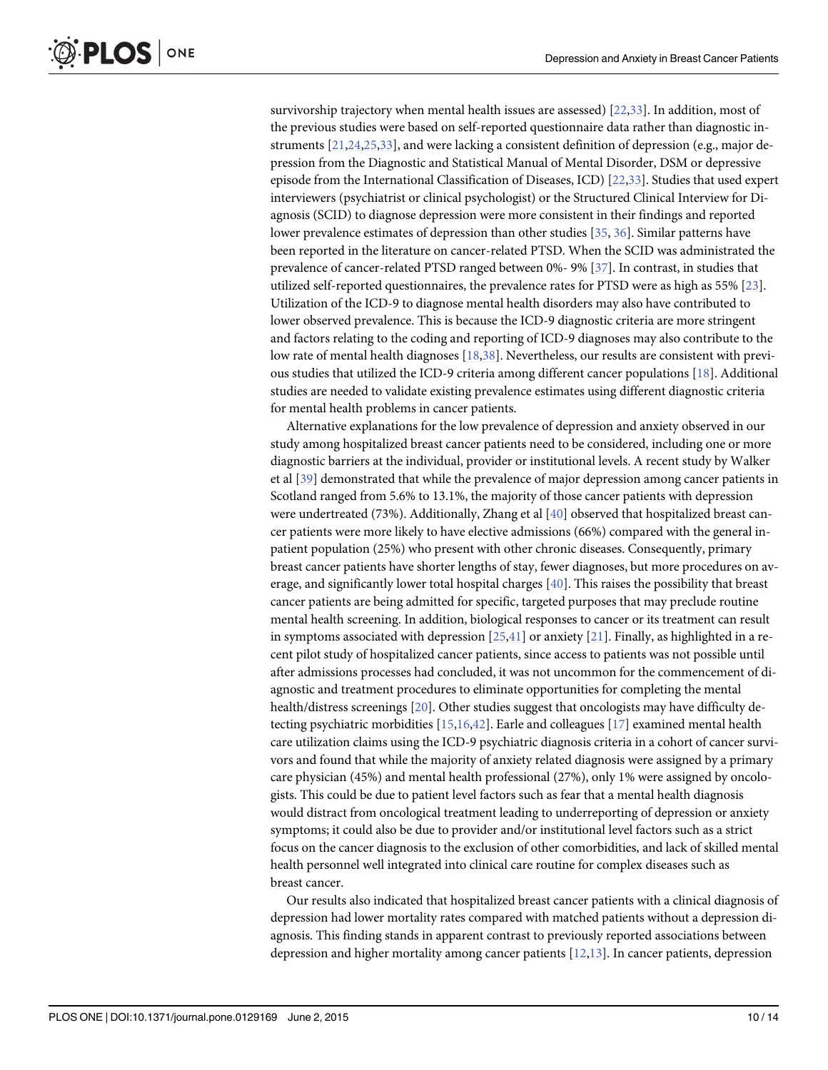<span id="page-9-0"></span>survivorship trajectory when mental health issues are assessed) [\[22,33](#page-12-0)]. In addition, most of the previous studies were based on self-reported questionnaire data rather than diagnostic instruments [[21,24,25,33](#page-12-0)], and were lacking a consistent definition of depression (e.g., major depression from the Diagnostic and Statistical Manual of Mental Disorder, DSM or depressive episode from the International Classification of Diseases, ICD) [[22,33](#page-12-0)]. Studies that used expert interviewers (psychiatrist or clinical psychologist) or the Structured Clinical Interview for Diagnosis (SCID) to diagnose depression were more consistent in their findings and reported lower prevalence estimates of depression than other studies [[35](#page-12-0), [36](#page-12-0)]. Similar patterns have been reported in the literature on cancer-related PTSD. When the SCID was administrated the prevalence of cancer-related PTSD ranged between 0%- 9% [\[37\]](#page-12-0). In contrast, in studies that utilized self-reported questionnaires, the prevalence rates for PTSD were as high as 55% [[23](#page-12-0)]. Utilization of the ICD-9 to diagnose mental health disorders may also have contributed to lower observed prevalence. This is because the ICD-9 diagnostic criteria are more stringent and factors relating to the coding and reporting of ICD-9 diagnoses may also contribute to the low rate of mental health diagnoses [\[18,38](#page-12-0)]. Nevertheless, our results are consistent with previous studies that utilized the ICD-9 criteria among different cancer populations [\[18](#page-12-0)]. Additional studies are needed to validate existing prevalence estimates using different diagnostic criteria for mental health problems in cancer patients.

Alternative explanations for the low prevalence of depression and anxiety observed in our study among hospitalized breast cancer patients need to be considered, including one or more diagnostic barriers at the individual, provider or institutional levels. A recent study by Walker et al [[39\]](#page-12-0) demonstrated that while the prevalence of major depression among cancer patients in Scotland ranged from 5.6% to 13.1%, the majority of those cancer patients with depression were undertreated (73%). Additionally, Zhang et al [[40\]](#page-13-0) observed that hospitalized breast cancer patients were more likely to have elective admissions (66%) compared with the general inpatient population (25%) who present with other chronic diseases. Consequently, primary breast cancer patients have shorter lengths of stay, fewer diagnoses, but more procedures on average, and significantly lower total hospital charges [\[40\]](#page-13-0). This raises the possibility that breast cancer patients are being admitted for specific, targeted purposes that may preclude routine mental health screening. In addition, biological responses to cancer or its treatment can result in symptoms associated with depression  $[25,41]$  $[25,41]$  $[25,41]$  or anxiety  $[21]$  $[21]$ . Finally, as highlighted in a recent pilot study of hospitalized cancer patients, since access to patients was not possible until after admissions processes had concluded, it was not uncommon for the commencement of diagnostic and treatment procedures to eliminate opportunities for completing the mental health/distress screenings [[20](#page-12-0)]. Other studies suggest that oncologists may have difficulty detecting psychiatric morbidities  $[15,16,42]$  $[15,16,42]$  $[15,16,42]$  $[15,16,42]$ . Earle and colleagues  $[17]$  $[17]$  $[17]$  examined mental health care utilization claims using the ICD-9 psychiatric diagnosis criteria in a cohort of cancer survivors and found that while the majority of anxiety related diagnosis were assigned by a primary care physician (45%) and mental health professional (27%), only 1% were assigned by oncologists. This could be due to patient level factors such as fear that a mental health diagnosis would distract from oncological treatment leading to underreporting of depression or anxiety symptoms; it could also be due to provider and/or institutional level factors such as a strict focus on the cancer diagnosis to the exclusion of other comorbidities, and lack of skilled mental health personnel well integrated into clinical care routine for complex diseases such as breast cancer.

Our results also indicated that hospitalized breast cancer patients with a clinical diagnosis of depression had lower mortality rates compared with matched patients without a depression diagnosis. This finding stands in apparent contrast to previously reported associations between depression and higher mortality among cancer patients  $[12,13]$  $[12,13]$ . In cancer patients, depression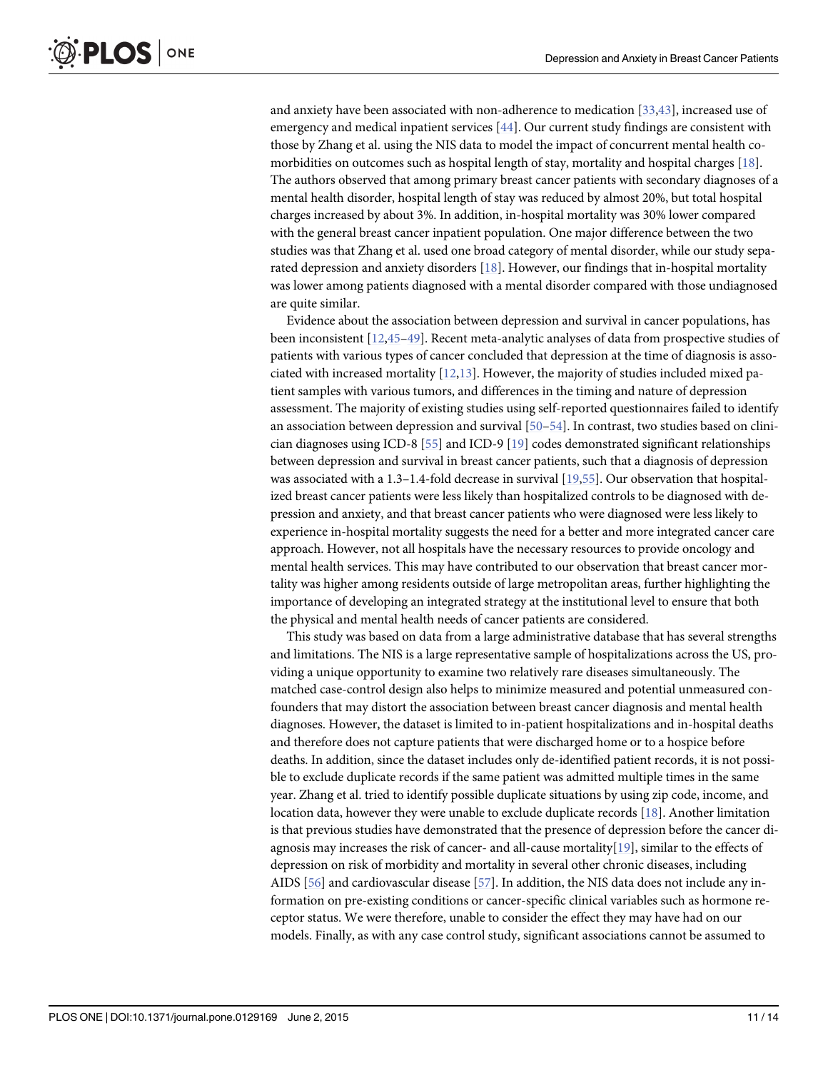<span id="page-10-0"></span>and anxiety have been associated with non-adherence to medication [\[33,](#page-12-0)[43\]](#page-13-0), increased use of emergency and medical inpatient services [\[44\]](#page-13-0). Our current study findings are consistent with those by Zhang et al. using the NIS data to model the impact of concurrent mental health comorbidities on outcomes such as hospital length of stay, mortality and hospital charges  $[18]$  $[18]$  $[18]$ . The authors observed that among primary breast cancer patients with secondary diagnoses of a mental health disorder, hospital length of stay was reduced by almost 20%, but total hospital charges increased by about 3%. In addition, in-hospital mortality was 30% lower compared with the general breast cancer inpatient population. One major difference between the two studies was that Zhang et al. used one broad category of mental disorder, while our study separated depression and anxiety disorders  $[18]$ . However, our findings that in-hospital mortality was lower among patients diagnosed with a mental disorder compared with those undiagnosed are quite similar.

Evidence about the association between depression and survival in cancer populations, has been inconsistent [[12](#page-11-0),[45](#page-13-0)–[49\]](#page-13-0). Recent meta-analytic analyses of data from prospective studies of patients with various types of cancer concluded that depression at the time of diagnosis is associated with increased mortality  $[12,13]$  $[12,13]$  $[12,13]$  $[12,13]$  $[12,13]$ . However, the majority of studies included mixed patient samples with various tumors, and differences in the timing and nature of depression assessment. The majority of existing studies using self-reported questionnaires failed to identify an association between depression and survival [[50](#page-13-0)–[54](#page-13-0)]. In contrast, two studies based on clinician diagnoses using ICD-8 [[55](#page-13-0)] and ICD-9 [\[19\]](#page-12-0) codes demonstrated significant relationships between depression and survival in breast cancer patients, such that a diagnosis of depression was associated with a 1.3–1.4-fold decrease in survival [[19](#page-12-0),[55](#page-13-0)]. Our observation that hospitalized breast cancer patients were less likely than hospitalized controls to be diagnosed with depression and anxiety, and that breast cancer patients who were diagnosed were less likely to experience in-hospital mortality suggests the need for a better and more integrated cancer care approach. However, not all hospitals have the necessary resources to provide oncology and mental health services. This may have contributed to our observation that breast cancer mortality was higher among residents outside of large metropolitan areas, further highlighting the importance of developing an integrated strategy at the institutional level to ensure that both the physical and mental health needs of cancer patients are considered.

This study was based on data from a large administrative database that has several strengths and limitations. The NIS is a large representative sample of hospitalizations across the US, providing a unique opportunity to examine two relatively rare diseases simultaneously. The matched case-control design also helps to minimize measured and potential unmeasured confounders that may distort the association between breast cancer diagnosis and mental health diagnoses. However, the dataset is limited to in-patient hospitalizations and in-hospital deaths and therefore does not capture patients that were discharged home or to a hospice before deaths. In addition, since the dataset includes only de-identified patient records, it is not possible to exclude duplicate records if the same patient was admitted multiple times in the same year. Zhang et al. tried to identify possible duplicate situations by using zip code, income, and location data, however they were unable to exclude duplicate records [\[18\]](#page-12-0). Another limitation is that previous studies have demonstrated that the presence of depression before the cancer diagnosis may increases the risk of cancer- and all-cause mortality[[19](#page-12-0)], similar to the effects of depression on risk of morbidity and mortality in several other chronic diseases, including AIDS [[56](#page-13-0)] and cardiovascular disease [[57](#page-13-0)]. In addition, the NIS data does not include any information on pre-existing conditions or cancer-specific clinical variables such as hormone receptor status. We were therefore, unable to consider the effect they may have had on our models. Finally, as with any case control study, significant associations cannot be assumed to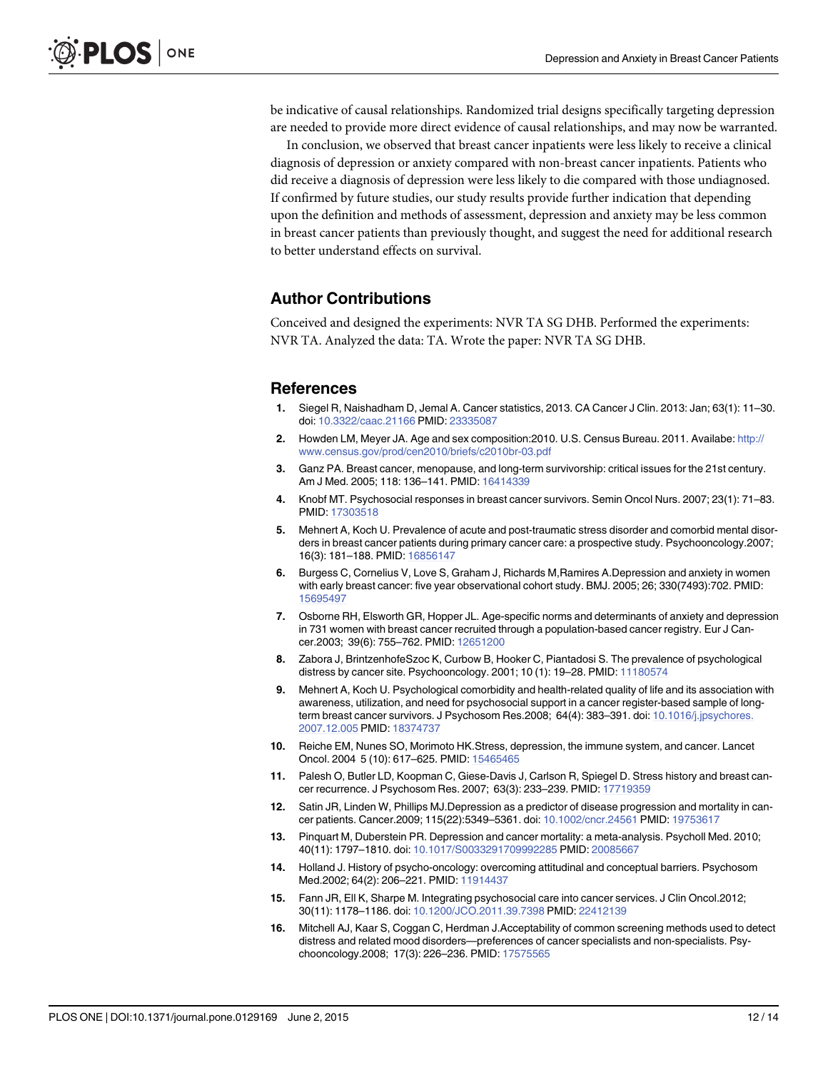<span id="page-11-0"></span>be indicative of causal relationships. Randomized trial designs specifically targeting depression are needed to provide more direct evidence of causal relationships, and may now be warranted.

In conclusion, we observed that breast cancer inpatients were less likely to receive a clinical diagnosis of depression or anxiety compared with non-breast cancer inpatients. Patients who did receive a diagnosis of depression were less likely to die compared with those undiagnosed. If confirmed by future studies, our study results provide further indication that depending upon the definition and methods of assessment, depression and anxiety may be less common in breast cancer patients than previously thought, and suggest the need for additional research to better understand effects on survival.

# Author Contributions

Conceived and designed the experiments: NVR TA SG DHB. Performed the experiments: NVR TA. Analyzed the data: TA. Wrote the paper: NVR TA SG DHB.

#### References

- [1.](#page-1-0) Siegel R, Naishadham D, Jemal A. Cancer statistics, 2013. CA Cancer J Clin. 2013: Jan; 63(1): 11–30. doi: [10.3322/caac.21166](http://dx.doi.org/10.3322/caac.21166) PMID: [23335087](http://www.ncbi.nlm.nih.gov/pubmed/23335087)
- [2.](#page-1-0) Howden LM, Meyer JA. Age and sex composition: 2010. U.S. Census Bureau. 2011. Availabe: [http://](http://www.census.gov/prod/cen2010/briefs/c2010br-03.pdf) [www.census.gov/prod/cen2010/briefs/c2010br-03.pdf](http://www.census.gov/prod/cen2010/briefs/c2010br-03.pdf)
- [3.](#page-1-0) Ganz PA. Breast cancer, menopause, and long-term survivorship: critical issues for the 21st century. Am J Med. 2005; 118: 136–141. PMID: [16414339](http://www.ncbi.nlm.nih.gov/pubmed/16414339)
- [4.](#page-1-0) Knobf MT. Psychosocial responses in breast cancer survivors. Semin Oncol Nurs. 2007; 23(1): 71–83. PMID: [17303518](http://www.ncbi.nlm.nih.gov/pubmed/17303518)
- [5.](#page-1-0) Mehnert A, Koch U. Prevalence of acute and post-traumatic stress disorder and comorbid mental disorders in breast cancer patients during primary cancer care: a prospective study. Psychooncology.2007; 16(3): 181–188. PMID: [16856147](http://www.ncbi.nlm.nih.gov/pubmed/16856147)
- 6. Burgess C, Cornelius V, Love S, Graham J, Richards M,Ramires A.Depression and anxiety in women with early breast cancer: five year observational cohort study. BMJ. 2005; 26; 330(7493):702. PMID: [15695497](http://www.ncbi.nlm.nih.gov/pubmed/15695497)
- 7. Osborne RH, Elsworth GR, Hopper JL. Age-specific norms and determinants of anxiety and depression in 731 women with breast cancer recruited through a population-based cancer registry. Eur J Cancer.2003; 39(6): 755–762. PMID: [12651200](http://www.ncbi.nlm.nih.gov/pubmed/12651200)
- 8. Zabora J, BrintzenhofeSzoc K, Curbow B, Hooker C, Piantadosi S. The prevalence of psychological distress by cancer site. Psychooncology. 2001; 10 (1): 19–28. PMID: [11180574](http://www.ncbi.nlm.nih.gov/pubmed/11180574)
- [9.](#page-1-0) Mehnert A, Koch U. Psychological comorbidity and health-related quality of life and its association with awareness, utilization, and need for psychosocial support in a cancer register-based sample of longterm breast cancer survivors. J Psychosom Res.2008; 64(4): 383–391. doi: [10.1016/j.jpsychores.](http://dx.doi.org/10.1016/j.jpsychores.2007.12.005) [2007.12.005](http://dx.doi.org/10.1016/j.jpsychores.2007.12.005) PMID: [18374737](http://www.ncbi.nlm.nih.gov/pubmed/18374737)
- [10.](#page-1-0) Reiche EM, Nunes SO, Morimoto HK.Stress, depression, the immune system, and cancer. Lancet Oncol. 2004 5 (10): 617–625. PMID: [15465465](http://www.ncbi.nlm.nih.gov/pubmed/15465465)
- [11.](#page-1-0) Palesh O, Butler LD, Koopman C, Giese-Davis J, Carlson R, Spiegel D. Stress history and breast cancer recurrence. J Psychosom Res. 2007; 63(3): 233–239. PMID: [17719359](http://www.ncbi.nlm.nih.gov/pubmed/17719359)
- [12.](#page-1-0) Satin JR, Linden W, Phillips MJ.Depression as a predictor of disease progression and mortality in cancer patients. Cancer.2009; 115(22):5349–5361. doi: [10.1002/cncr.24561](http://dx.doi.org/10.1002/cncr.24561) PMID: [19753617](http://www.ncbi.nlm.nih.gov/pubmed/19753617)
- [13.](#page-1-0) Pinquart M, Duberstein PR. Depression and cancer mortality: a meta-analysis. Psycholl Med. 2010; 40(11): 1797–1810. doi: [10.1017/S0033291709992285](http://dx.doi.org/10.1017/S0033291709992285) PMID: [20085667](http://www.ncbi.nlm.nih.gov/pubmed/20085667)
- [14.](#page-1-0) Holland J. History of psycho-oncology: overcoming attitudinal and conceptual barriers. Psychosom Med.2002; 64(2): 206–221. PMID: [11914437](http://www.ncbi.nlm.nih.gov/pubmed/11914437)
- [15.](#page-1-0) Fann JR, Ell K, Sharpe M. Integrating psychosocial care into cancer services. J Clin Oncol.2012; 30(11): 1178–1186. doi: [10.1200/JCO.2011.39.7398](http://dx.doi.org/10.1200/JCO.2011.39.7398) PMID: [22412139](http://www.ncbi.nlm.nih.gov/pubmed/22412139)
- [16.](#page-1-0) Mitchell AJ, Kaar S, Coggan C, Herdman J.Acceptability of common screening methods used to detect distress and related mood disorders—preferences of cancer specialists and non-specialists. Psychooncology.2008; 17(3): 226–236. PMID: [17575565](http://www.ncbi.nlm.nih.gov/pubmed/17575565)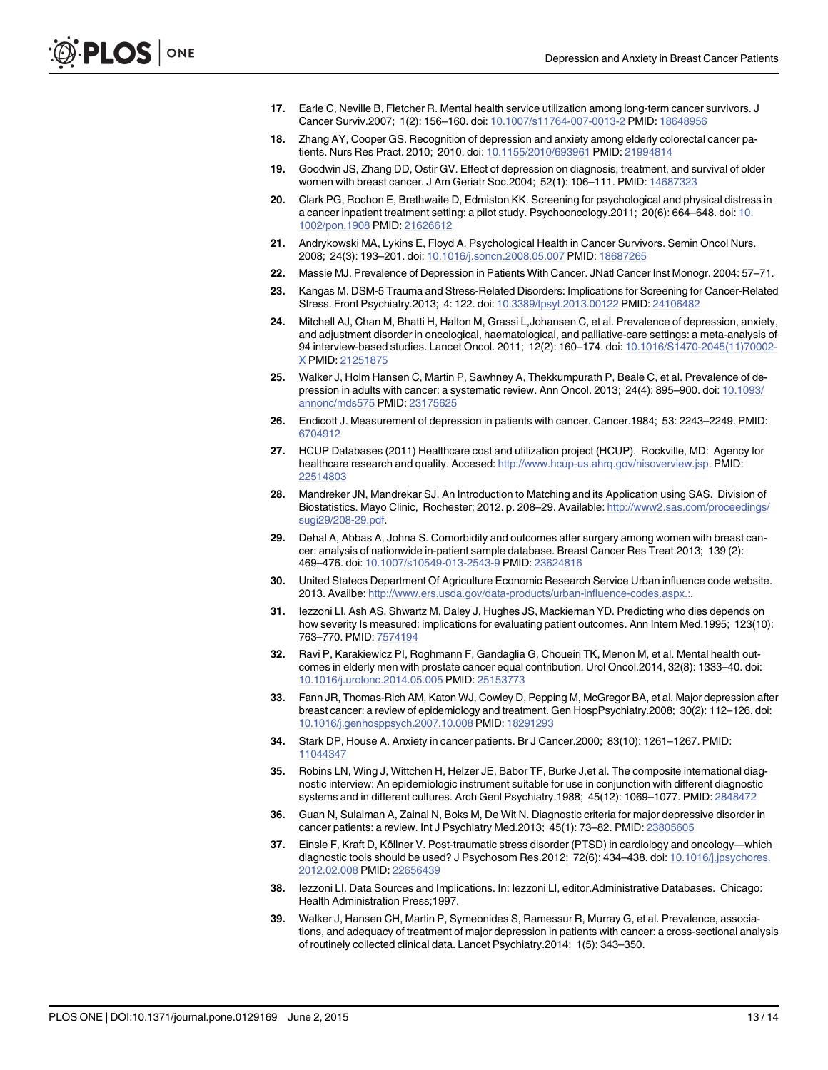- <span id="page-12-0"></span>[17.](#page-1-0) Earle C, Neville B, Fletcher R. Mental health service utilization among long-term cancer survivors. J Cancer Surviv.2007; 1(2): 156–160. doi: [10.1007/s11764-007-0013-2](http://dx.doi.org/10.1007/s11764-007-0013-2) PMID: [18648956](http://www.ncbi.nlm.nih.gov/pubmed/18648956)
- [18.](#page-8-0) Zhang AY, Cooper GS. Recognition of depression and anxiety among elderly colorectal cancer patients. Nurs Res Pract. 2010; 2010. doi: [10.1155/2010/693961](http://dx.doi.org/10.1155/2010/693961) PMID: [21994814](http://www.ncbi.nlm.nih.gov/pubmed/21994814)
- [19.](#page-1-0) Goodwin JS, Zhang DD, Ostir GV. Effect of depression on diagnosis, treatment, and survival of older women with breast cancer. J Am Geriatr Soc.2004; 52(1): 106–111. PMID: [14687323](http://www.ncbi.nlm.nih.gov/pubmed/14687323)
- [20.](#page-1-0) Clark PG, Rochon E, Brethwaite D, Edmiston KK. Screening for psychological and physical distress in a cancer inpatient treatment setting: a pilot study. Psychooncology.2011; 20(6): 664–648. doi: [10.](http://dx.doi.org/10.1002/pon.1908) [1002/pon.1908](http://dx.doi.org/10.1002/pon.1908) PMID: [21626612](http://www.ncbi.nlm.nih.gov/pubmed/21626612)
- [21.](#page-1-0) Andrykowski MA, Lykins E, Floyd A. Psychological Health in Cancer Survivors. Semin Oncol Nurs. 2008; 24(3): 193–201. doi: [10.1016/j.soncn.2008.05.007](http://dx.doi.org/10.1016/j.soncn.2008.05.007) PMID: [18687265](http://www.ncbi.nlm.nih.gov/pubmed/18687265)
- [22.](#page-1-0) Massie MJ. Prevalence of Depression in Patients With Cancer. JNatl Cancer Inst Monogr. 2004: 57–71.
- [23.](#page-1-0) Kangas M. DSM-5 Trauma and Stress-Related Disorders: Implications for Screening for Cancer-Related Stress. Front Psychiatry.2013; 4: 122. doi: [10.3389/fpsyt.2013.00122](http://dx.doi.org/10.3389/fpsyt.2013.00122) PMID: [24106482](http://www.ncbi.nlm.nih.gov/pubmed/24106482)
- [24.](#page-2-0) Mitchell AJ, Chan M, Bhatti H, Halton M, Grassi L,Johansen C, et al. Prevalence of depression, anxiety, and adjustment disorder in oncological, haematological, and palliative-care settings: a meta-analysis of 94 interview-based studies. Lancet Oncol. 2011; 12(2): 160–174. doi: [10.1016/S1470-2045\(11\)70002-](http://dx.doi.org/10.1016/S1470-2045(11)70002-X) [X](http://dx.doi.org/10.1016/S1470-2045(11)70002-X) PMID: [21251875](http://www.ncbi.nlm.nih.gov/pubmed/21251875)
- [25.](#page-2-0) Walker J, Holm Hansen C, Martin P, Sawhney A, Thekkumpurath P, Beale C, et al. Prevalence of depression in adults with cancer: a systematic review. Ann Oncol. 2013; 24(4): 895–900. doi: [10.1093/](http://dx.doi.org/10.1093/annonc/mds575) [annonc/mds575](http://dx.doi.org/10.1093/annonc/mds575) PMID: [23175625](http://www.ncbi.nlm.nih.gov/pubmed/23175625)
- [26.](#page-2-0) Endicott J. Measurement of depression in patients with cancer. Cancer.1984; 53: 2243–2249. PMID: [6704912](http://www.ncbi.nlm.nih.gov/pubmed/6704912)
- [27.](#page-2-0) HCUP Databases (2011) Healthcare cost and utilization project (HCUP). Rockville, MD: Agency for healthcare research and quality. Accesed: <http://www.hcup-us.ahrq.gov/nisoverview.jsp>. PMID: [22514803](http://www.ncbi.nlm.nih.gov/pubmed/22514803)
- [28.](#page-3-0) Mandreker JN, Mandrekar SJ. An Introduction to Matching and its Application using SAS. Division of Biostatistics. Mayo Clinic, Rochester; 2012. p. 208–29. Available: [http://www2.sas.com/proceedings/](http://www2.sas.com/proceedings/sugi29/208-29.pdf) [sugi29/208-29.pdf](http://www2.sas.com/proceedings/sugi29/208-29.pdf).
- [29.](#page-3-0) Dehal A, Abbas A, Johna S. Comorbidity and outcomes after surgery among women with breast cancer: analysis of nationwide in-patient sample database. Breast Cancer Res Treat.2013; 139 (2): 469–476. doi: [10.1007/s10549-013-2543-9](http://dx.doi.org/10.1007/s10549-013-2543-9) PMID: [23624816](http://www.ncbi.nlm.nih.gov/pubmed/23624816)
- [30.](#page-3-0) United Statecs Department Of Agriculture Economic Research Service Urban influence code website. 2013. Availbe: [http://www.ers.usda.gov/data-products/urban-influence-codes.aspx.:.](http://www.ers.usda.gov/data-products/urban-influence-codes.aspx.:)
- [31.](#page-3-0) Iezzoni LI, Ash AS, Shwartz M, Daley J, Hughes JS, Mackiernan YD. Predicting who dies depends on how severity Is measured: implications for evaluating patient outcomes. Ann Intern Med.1995; 123(10): 763–770. PMID: [7574194](http://www.ncbi.nlm.nih.gov/pubmed/7574194)
- [32.](#page-8-0) Ravi P, Karakiewicz PI, Roghmann F, Gandaglia G, Choueiri TK, Menon M, et al. Mental health outcomes in elderly men with prostate cancer equal contribution. Urol Oncol.2014, 32(8): 1333–40. doi: [10.1016/j.urolonc.2014.05.005](http://dx.doi.org/10.1016/j.urolonc.2014.05.005) PMID: [25153773](http://www.ncbi.nlm.nih.gov/pubmed/25153773)
- [33.](#page-8-0) Fann JR, Thomas-Rich AM, Katon WJ, Cowley D, Pepping M, McGregor BA, et al. Major depression after breast cancer: a review of epidemiology and treatment. Gen HospPsychiatry.2008; 30(2): 112–126. doi: [10.1016/j.genhosppsych.2007.10.008](http://dx.doi.org/10.1016/j.genhosppsych.2007.10.008) PMID: [18291293](http://www.ncbi.nlm.nih.gov/pubmed/18291293)
- [34.](#page-8-0) Stark DP, House A. Anxiety in cancer patients. Br J Cancer.2000; 83(10): 1261–1267. PMID: [11044347](http://www.ncbi.nlm.nih.gov/pubmed/11044347)
- [35.](#page-9-0) Robins LN, Wing J, Wittchen H, Helzer JE, Babor TF, Burke J,et al. The composite international diagnostic interview: An epidemiologic instrument suitable for use in conjunction with different diagnostic systems and in different cultures. Arch Genl Psychiatry.1988; 45(12): 1069–1077. PMID: [2848472](http://www.ncbi.nlm.nih.gov/pubmed/2848472)
- [36.](#page-9-0) Guan N, Sulaiman A, Zainal N, Boks M, De Wit N. Diagnostic criteria for major depressive disorder in cancer patients: a review. Int J Psychiatry Med.2013; 45(1): 73–82. PMID: [23805605](http://www.ncbi.nlm.nih.gov/pubmed/23805605)
- [37.](#page-9-0) Einsle F, Kraft D, Köllner V. Post-traumatic stress disorder (PTSD) in cardiology and oncology—which diagnostic tools should be used? J Psychosom Res.2012; 72(6): 434-438. doi: [10.1016/j.jpsychores.](http://dx.doi.org/10.1016/j.jpsychores.2012.02.008) [2012.02.008](http://dx.doi.org/10.1016/j.jpsychores.2012.02.008) PMID: [22656439](http://www.ncbi.nlm.nih.gov/pubmed/22656439)
- [38.](#page-9-0) Iezzoni LI. Data Sources and Implications. In: Iezzoni LI, editor.Administrative Databases. Chicago: Health Administration Press;1997.
- [39.](#page-9-0) Walker J, Hansen CH, Martin P, Symeonides S, Ramessur R, Murray G, et al. Prevalence, associations, and adequacy of treatment of major depression in patients with cancer: a cross-sectional analysis of routinely collected clinical data. Lancet Psychiatry.2014; 1(5): 343–350.